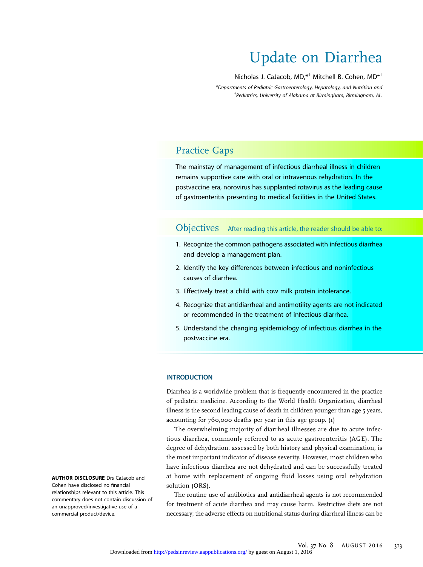# Update on Diarrhea

Nicholas J. CaJacob, MD,\*† Mitchell B. Cohen, MD\*†

\*Departments of Pediatric Gastroenterology, Hepatology, and Nutrition and † Pediatrics, University of Alabama at Birmingham, Birmingham, AL.

# Practice Gaps

The mainstay of management of infectious diarrheal illness in children remains supportive care with oral or intravenous rehydration. In the postvaccine era, norovirus has supplanted rotavirus as the leading cause of gastroenteritis presenting to medical facilities in the United States.

# Objectives After reading this article, the reader should be able to:

- 1. Recognize the common pathogens associated with infectious diarrhea and develop a management plan.
- 2. Identify the key differences between infectious and noninfectious causes of diarrhea.
- 3. Effectively treat a child with cow milk protein intolerance.
- 4. Recognize that antidiarrheal and antimotility agents are not indicated or recommended in the treatment of infectious diarrhea.
- 5. Understand the changing epidemiology of infectious diarrhea in the postvaccine era.

## **INTRODUCTION**

Diarrhea is a worldwide problem that is frequently encountered in the practice of pediatric medicine. According to the World Health Organization, diarrheal illness is the second leading cause of death in children younger than age 5 years, accounting for 760,000 deaths per year in this age group. (1)

The overwhelming majority of diarrheal illnesses are due to acute infectious diarrhea, commonly referred to as acute gastroenteritis (AGE). The degree of dehydration, assessed by both history and physical examination, is the most important indicator of disease severity. However, most children who have infectious diarrhea are not dehydrated and can be successfully treated at home with replacement of ongoing fluid losses using oral rehydration solution (ORS).

The routine use of antibiotics and antidiarrheal agents is not recommended for treatment of acute diarrhea and may cause harm. Restrictive diets are not necessary; the adverse effects on nutritional status during diarrheal illness can be

AUTHOR DISCLOSURE Drs CaJacob and Cohen have disclosed no financial relationships relevant to this article. This commentary does not contain discussion of an unapproved/investigative use of a commercial product/device.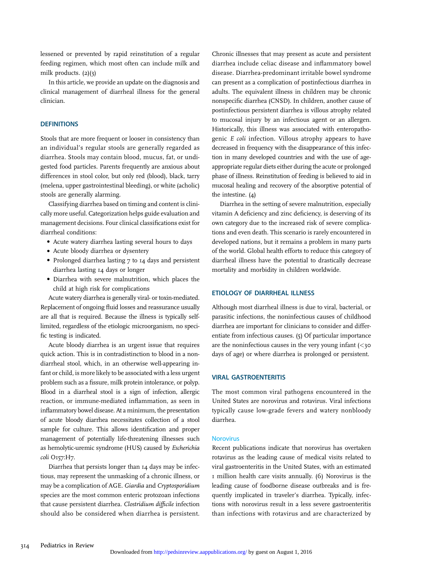lessened or prevented by rapid reinstitution of a regular feeding regimen, which most often can include milk and milk products. (2)(3)

In this article, we provide an update on the diagnosis and clinical management of diarrheal illness for the general clinician.

# **DEFINITIONS**

Stools that are more frequent or looser in consistency than an individual's regular stools are generally regarded as diarrhea. Stools may contain blood, mucus, fat, or undigested food particles. Parents frequently are anxious about differences in stool color, but only red (blood), black, tarry (melena, upper gastrointestinal bleeding), or white (acholic) stools are generally alarming.

Classifying diarrhea based on timing and content is clinically more useful. Categorization helps guide evaluation and management decisions. Four clinical classifications exist for diarrheal conditions:

- Acute watery diarrhea lasting several hours to days
- Acute bloody diarrhea or dysentery
- Prolonged diarrhea lasting 7 to 14 days and persistent diarrhea lasting 14 days or longer
- Diarrhea with severe malnutrition, which places the child at high risk for complications

Acute watery diarrhea is generally viral- or toxin-mediated. Replacement of ongoing fluid losses and reassurance usually are all that is required. Because the illness is typically selflimited, regardless of the etiologic microorganism, no specific testing is indicated.

Acute bloody diarrhea is an urgent issue that requires quick action. This is in contradistinction to blood in a nondiarrheal stool, which, in an otherwise well-appearing infant or child, is more likely to be associated with a less urgent problem such as a fissure, milk protein intolerance, or polyp. Blood in a diarrheal stool is a sign of infection, allergic reaction, or immune-mediated inflammation, as seen in inflammatory bowel disease. At a minimum, the presentation of acute bloody diarrhea necessitates collection of a stool sample for culture. This allows identification and proper management of potentially life-threatening illnesses such as hemolytic-uremic syndrome (HUS) caused by Escherichia coli O157:H7.

Diarrhea that persists longer than 14 days may be infectious, may represent the unmasking of a chronic illness, or may be a complication of AGE. Giardia and Cryptosporidium species are the most common enteric protozoan infections that cause persistent diarrhea. Clostridium difficile infection should also be considered when diarrhea is persistent. Chronic illnesses that may present as acute and persistent diarrhea include celiac disease and inflammatory bowel disease. Diarrhea-predominant irritable bowel syndrome can present as a complication of postinfectious diarrhea in adults. The equivalent illness in children may be chronic nonspecific diarrhea (CNSD). In children, another cause of postinfectious persistent diarrhea is villous atrophy related to mucosal injury by an infectious agent or an allergen. Historically, this illness was associated with enteropathogenic E coli infection. Villous atrophy appears to have decreased in frequency with the disappearance of this infection in many developed countries and with the use of ageappropriate regular diets either during the acute or prolonged phase of illness. Reinstitution of feeding is believed to aid in mucosal healing and recovery of the absorptive potential of the intestine. (4)

Diarrhea in the setting of severe malnutrition, especially vitamin A deficiency and zinc deficiency, is deserving of its own category due to the increased risk of severe complications and even death. This scenario is rarely encountered in developed nations, but it remains a problem in many parts of the world. Global health efforts to reduce this category of diarrheal illness have the potential to drastically decrease mortality and morbidity in children worldwide.

## ETIOLOGY OF DIARRHEAL ILLNESS

Although most diarrheal illness is due to viral, bacterial, or parasitic infections, the noninfectious causes of childhood diarrhea are important for clinicians to consider and differentiate from infectious causes. (5) Of particular importance are the noninfectious causes in the very young infant  $(<$ 30 days of age) or where diarrhea is prolonged or persistent.

# VIRAL GASTROENTERITIS

The most common viral pathogens encountered in the United States are norovirus and rotavirus. Viral infections typically cause low-grade fevers and watery nonbloody diarrhea.

#### **Norovirus**

Recent publications indicate that norovirus has overtaken rotavirus as the leading cause of medical visits related to viral gastroenteritis in the United States, with an estimated 1 million health care visits annually. (6) Norovirus is the leading cause of foodborne disease outbreaks and is frequently implicated in traveler's diarrhea. Typically, infections with norovirus result in a less severe gastroenteritis than infections with rotavirus and are characterized by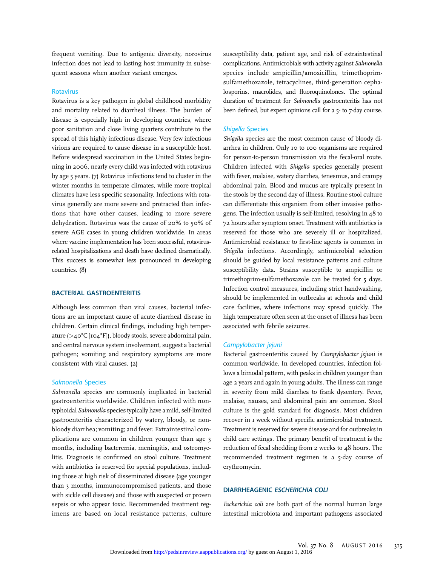frequent vomiting. Due to antigenic diversity, norovirus infection does not lead to lasting host immunity in subsequent seasons when another variant emerges.

#### Rotavirus

Rotavirus is a key pathogen in global childhood morbidity and mortality related to diarrheal illness. The burden of disease is especially high in developing countries, where poor sanitation and close living quarters contribute to the spread of this highly infectious disease. Very few infectious virions are required to cause disease in a susceptible host. Before widespread vaccination in the United States beginning in 2006, nearly every child was infected with rotavirus by age 5 years. (7) Rotavirus infections tend to cluster in the winter months in temperate climates, while more tropical climates have less specific seasonality. Infections with rotavirus generally are more severe and protracted than infections that have other causes, leading to more severe dehydration. Rotavirus was the cause of 20% to 50% of severe AGE cases in young children worldwide. In areas where vaccine implementation has been successful, rotavirusrelated hospitalizations and death have declined dramatically. This success is somewhat less pronounced in developing countries. (8)

## BACTERIAL GASTROENTERITIS

Although less common than viral causes, bacterial infections are an important cause of acute diarrheal disease in children. Certain clinical findings, including high temperature (>40°C [104°F]), bloody stools, severe abdominal pain, and central nervous system involvement, suggest a bacterial pathogen; vomiting and respiratory symptoms are more consistent with viral causes. (2)

## Salmonella Species

Salmonella species are commonly implicated in bacterial gastroenteritis worldwide. Children infected with nontyphoidal Salmonella species typically have a mild, self-limited gastroenteritis characterized by watery, bloody, or nonbloody diarrhea; vomiting; and fever. Extraintestinal complications are common in children younger than age 3 months, including bacteremia, meningitis, and osteomyelitis. Diagnosis is confirmed on stool culture. Treatment with antibiotics is reserved for special populations, including those at high risk of disseminated disease (age younger than 3 months, immunocompromised patients, and those with sickle cell disease) and those with suspected or proven sepsis or who appear toxic. Recommended treatment regimens are based on local resistance patterns, culture

susceptibility data, patient age, and risk of extraintestinal complications. Antimicrobials with activity against Salmonella species include ampicillin/amoxicillin, trimethoprimsulfamethoxazole, tetracyclines, third-generation cephalosporins, macrolides, and fluoroquinolones. The optimal duration of treatment for Salmonella gastroenteritis has not been defined, but expert opinions call for a 5- to 7-day course.

#### Shigella Species

Shigella species are the most common cause of bloody diarrhea in children. Only 10 to 100 organisms are required for person-to-person transmission via the fecal-oral route. Children infected with Shigella species generally present with fever, malaise, watery diarrhea, tenesmus, and crampy abdominal pain. Blood and mucus are typically present in the stools by the second day of illness. Routine stool culture can differentiate this organism from other invasive pathogens. The infection usually is self-limited, resolving in 48 to 72 hours after symptom onset. Treatment with antibiotics is reserved for those who are severely ill or hospitalized. Antimicrobial resistance to first-line agents is common in Shigella infections. Accordingly, antimicrobial selection should be guided by local resistance patterns and culture susceptibility data. Strains susceptible to ampicillin or trimethoprim-sulfamethoxazole can be treated for 5 days. Infection control measures, including strict handwashing, should be implemented in outbreaks at schools and child care facilities, where infections may spread quickly. The high temperature often seen at the onset of illness has been associated with febrile seizures.

#### Campylobacter jejuni

Bacterial gastroenteritis caused by Campylobacter jejuni is common worldwide. In developed countries, infection follows a bimodal pattern, with peaks in children younger than age 2 years and again in young adults. The illness can range in severity from mild diarrhea to frank dysentery. Fever, malaise, nausea, and abdominal pain are common. Stool culture is the gold standard for diagnosis. Most children recover in 1 week without specific antimicrobial treatment. Treatment is reserved for severe disease and for outbreaks in child care settings. The primary benefit of treatment is the reduction of fecal shedding from 2 weeks to 48 hours. The recommended treatment regimen is a 5-day course of erythromycin.

# DIARRHEAGENIC ESCHERICHIA COLI

Escherichia coli are both part of the normal human large intestinal microbiota and important pathogens associated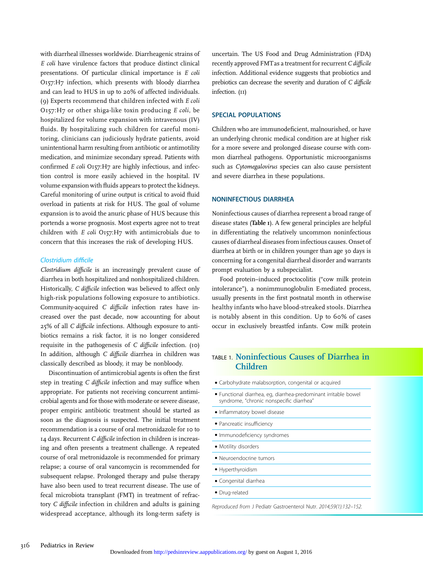with diarrheal illnesses worldwide. Diarrheagenic strains of E coli have virulence factors that produce distinct clinical presentations. Of particular clinical importance is E coli O157:H7 infection, which presents with bloody diarrhea and can lead to HUS in up to 20% of affected individuals. (9) Experts recommend that children infected with E coli O157:H7 or other shiga-like toxin producing E coli, be hospitalized for volume expansion with intravenous (IV) fluids. By hospitalizing such children for careful monitoring, clinicians can judiciously hydrate patients, avoid unintentional harm resulting from antibiotic or antimotility medication, and minimize secondary spread. Patients with confirmed E coli O157:H7 are highly infectious, and infection control is more easily achieved in the hospital. IV volume expansion with fluids appears to protect the kidneys. Careful monitoring of urine output is critical to avoid fluid overload in patients at risk for HUS. The goal of volume expansion is to avoid the anuric phase of HUS because this portends a worse prognosis. Most experts agree not to treat children with  $E$  coli O157:H7 with antimicrobials due to concern that this increases the risk of developing HUS.

## Clostridium difficile

Clostridium difficile is an increasingly prevalent cause of diarrhea in both hospitalized and nonhospitalized children. Historically, C difficile infection was believed to affect only high-risk populations following exposure to antibiotics. Community-acquired C difficile infection rates have increased over the past decade, now accounting for about 25% of all C difficile infections. Although exposure to antibiotics remains a risk factor, it is no longer considered requisite in the pathogenesis of C difficile infection. (10) In addition, although C difficile diarrhea in children was classically described as bloody, it may be nonbloody.

Discontinuation of antimicrobial agents is often the first step in treating C difficile infection and may suffice when appropriate. For patients not receiving concurrent antimicrobial agents and for those with moderate or severe disease, proper empiric antibiotic treatment should be started as soon as the diagnosis is suspected. The initial treatment recommendation is a course of oral metronidazole for 10 to 14 days. Recurrent C difficile infection in children is increasing and often presents a treatment challenge. A repeated course of oral metronidazole is recommended for primary relapse; a course of oral vancomycin is recommended for subsequent relapse. Prolonged therapy and pulse therapy have also been used to treat recurrent disease. The use of fecal microbiota transplant (FMT) in treatment of refractory C difficile infection in children and adults is gaining widespread acceptance, although its long-term safety is

uncertain. The US Food and Drug Administration (FDA) recently approved FMTas a treatment for recurrent C difficile infection. Additional evidence suggests that probiotics and prebiotics can decrease the severity and duration of C difficile infection. (11)

#### SPECIAL POPULATIONS

Children who are immunodeficient, malnourished, or have an underlying chronic medical condition are at higher risk for a more severe and prolonged disease course with common diarrheal pathogens. Opportunistic microorganisms such as Cytomegalovirus species can also cause persistent and severe diarrhea in these populations.

# NONINFECTIOUS DIARRHEA

Noninfectious causes of diarrhea represent a broad range of disease states (Table 1). A few general principles are helpful in differentiating the relatively uncommon noninfectious causes of diarrheal diseases from infectious causes. Onset of diarrhea at birth or in children younger than age 30 days is concerning for a congenital diarrheal disorder and warrants prompt evaluation by a subspecialist.

Food protein–induced proctocolitis ("cow milk protein intolerance"), a nonimmunoglobulin E-mediated process, usually presents in the first postnatal month in otherwise healthy infants who have blood-streaked stools. Diarrhea is notably absent in this condition. Up to 60% of cases occur in exclusively breastfed infants. Cow milk protein

# TABLE 1. Noninfectious Causes of Diarrhea in Children

- Carbohydrate malabsorption, congenital or acquired • Functional diarrhea, eg, diarrhea-predominant irritable bowel syndrome, "chronic nonspecific diarrhea" • Inflammatory bowel disease • Pancreatic insufficiency • Immunodeficiency syndromes • Motility disorders • Neuroendocrine tumors • Hyperthyroidism
- Congenital diarrhea
- Drug-related

Reproduced from J Pediatr Gastroenterol Nutr. 2014;59(1):132–152.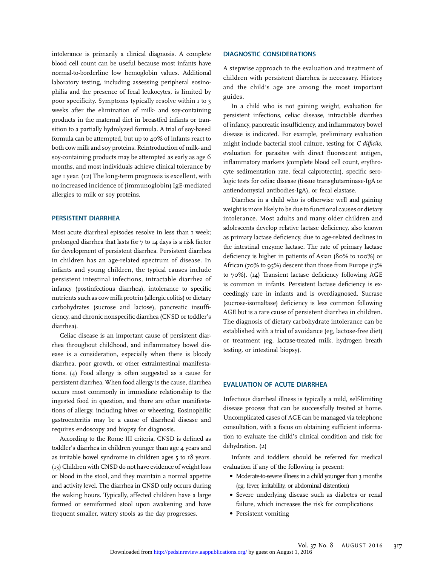intolerance is primarily a clinical diagnosis. A complete blood cell count can be useful because most infants have normal-to-borderline low hemoglobin values. Additional laboratory testing, including assessing peripheral eosinophilia and the presence of fecal leukocytes, is limited by poor specificity. Symptoms typically resolve within 1 to 3 weeks after the elimination of milk- and soy-containing products in the maternal diet in breastfed infants or transition to a partially hydrolyzed formula. A trial of soy-based formula can be attempted, but up to 40% of infants react to both cow milk and soy proteins. Reintroduction of milk- and soy-containing products may be attempted as early as age 6 months, and most individuals achieve clinical tolerance by age 1 year. (12) The long-term prognosis is excellent, with no increased incidence of (immunoglobin) IgE-mediated allergies to milk or soy proteins.

# PERSISTENT DIARRHEA

Most acute diarrheal episodes resolve in less than 1 week; prolonged diarrhea that lasts for 7 to 14 days is a risk factor for development of persistent diarrhea. Persistent diarrhea in children has an age-related spectrum of disease. In infants and young children, the typical causes include persistent intestinal infections, intractable diarrhea of infancy (postinfectious diarrhea), intolerance to specific nutrients such as cow milk protein (allergic colitis) or dietary carbohydrates (sucrose and lactose), pancreatic insufficiency, and chronic nonspecific diarrhea (CNSD or toddler's diarrhea).

Celiac disease is an important cause of persistent diarrhea throughout childhood, and inflammatory bowel disease is a consideration, especially when there is bloody diarrhea, poor growth, or other extraintestinal manifestations. (4) Food allergy is often suggested as a cause for persistent diarrhea. When food allergy is the cause, diarrhea occurs most commonly in immediate relationship to the ingested food in question, and there are other manifestations of allergy, including hives or wheezing. Eosinophilic gastroenteritis may be a cause of diarrheal disease and requires endoscopy and biopsy for diagnosis.

According to the Rome III criteria, CNSD is defined as toddler's diarrhea in children younger than age 4 years and as irritable bowel syndrome in children ages 5 to 18 years. (13) Children with CNSD do not have evidence of weight loss or blood in the stool, and they maintain a normal appetite and activity level. The diarrhea in CNSD only occurs during the waking hours. Typically, affected children have a large formed or semiformed stool upon awakening and have frequent smaller, watery stools as the day progresses.

# DIAGNOSTIC CONSIDERATIONS

A stepwise approach to the evaluation and treatment of children with persistent diarrhea is necessary. History and the child's age are among the most important guides.

In a child who is not gaining weight, evaluation for persistent infections, celiac disease, intractable diarrhea of infancy, pancreatic insufficiency, and inflammatory bowel disease is indicated. For example, preliminary evaluation might include bacterial stool culture, testing for C difficile, evaluation for parasites with direct fluorescent antigen, inflammatory markers (complete blood cell count, erythrocyte sedimentation rate, fecal calprotectin), specific serologic tests for celiac disease (tissue transglutaminase-IgA or antiendomysial antibodies-IgA), or fecal elastase.

Diarrhea in a child who is otherwise well and gaining weight is more likely to be due to functional causes or dietary intolerance. Most adults and many older children and adolescents develop relative lactase deficiency, also known as primary lactase deficiency, due to age-related declines in the intestinal enzyme lactase. The rate of primary lactase deficiency is higher in patients of Asian (80% to 100%) or African (70% to 95%) descent than those from Europe (15% to 70%). (14) Transient lactase deficiency following AGE is common in infants. Persistent lactase deficiency is exceedingly rare in infants and is overdiagnosed. Sucrase (sucrose-isomaltase) deficiency is less common following AGE but is a rare cause of persistent diarrhea in children. The diagnosis of dietary carbohydrate intolerance can be established with a trial of avoidance (eg, lactose-free diet) or treatment (eg, lactase-treated milk, hydrogen breath testing, or intestinal biopsy).

# EVALUATION OF ACUTE DIARRHEA

Infectious diarrheal illness is typically a mild, self-limiting disease process that can be successfully treated at home. Uncomplicated cases of AGE can be managed via telephone consultation, with a focus on obtaining sufficient information to evaluate the child's clinical condition and risk for dehydration. (2)

Infants and toddlers should be referred for medical evaluation if any of the following is present:

- Moderate-to-severe illness in a child younger than 3 months (eg, fever, irritability, or abdominal distention)
- Severe underlying disease such as diabetes or renal failure, which increases the risk for complications
- Persistent vomiting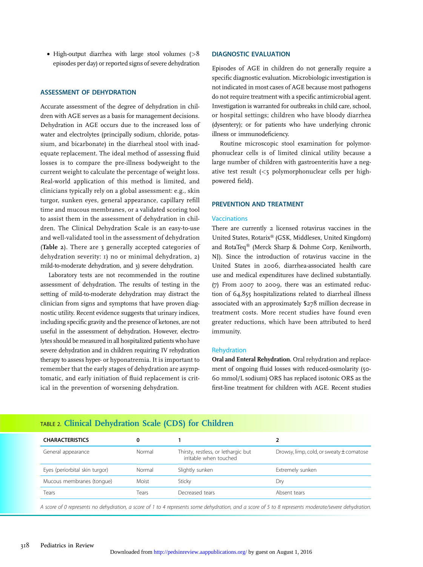• High-output diarrhea with large stool volumes (>8 episodes per day) or reported signs of severe dehydration

#### ASSESSMENT OF DEHYDRATION

Accurate assessment of the degree of dehydration in children with AGE serves as a basis for management decisions. Dehydration in AGE occurs due to the increased loss of water and electrolytes (principally sodium, chloride, potassium, and bicarbonate) in the diarrheal stool with inadequate replacement. The ideal method of assessing fluid losses is to compare the pre-illness bodyweight to the current weight to calculate the percentage of weight loss. Real-world application of this method is limited, and clinicians typically rely on a global assessment: e.g., skin turgor, sunken eyes, general appearance, capillary refill time and mucous membranes, or a validated scoring tool to assist them in the assessment of dehydration in children. The Clinical Dehydration Scale is an easy-to-use and well-validated tool in the assessment of dehydration (Table 2). There are 3 generally accepted categories of dehydration severity: 1) no or minimal dehydration, 2) mild-to-moderate dehydration, and 3) severe dehydration.

Laboratory tests are not recommended in the routine assessment of dehydration. The results of testing in the setting of mild-to-moderate dehydration may distract the clinician from signs and symptoms that have proven diagnostic utility. Recent evidence suggests that urinary indices, including specific gravity and the presence of ketones, are not useful in the assessment of dehydration. However, electrolytes should be measured in all hospitalized patients who have severe dehydration and in children requiring IV rehydration therapy to assess hyper- or hyponatremia. It is important to remember that the early stages of dehydration are asymptomatic, and early initiation of fluid replacement is critical in the prevention of worsening dehydration.

# DIAGNOSTIC EVALUATION

Episodes of AGE in children do not generally require a specific diagnostic evaluation. Microbiologic investigation is not indicated in most cases of AGE because most pathogens do not require treatment with a specific antimicrobial agent. Investigation is warranted for outbreaks in child care, school, or hospital settings; children who have bloody diarrhea (dysentery); or for patients who have underlying chronic illness or immunodeficiency.

Routine microscopic stool examination for polymorphonuclear cells is of limited clinical utility because a large number of children with gastroenteritis have a negative test result  $\langle \langle 5 \rangle$  polymorphonuclear cells per highpowered field).

#### PREVENTION AND TREATMENT

#### **Vaccinations**

There are currently 2 licensed rotavirus vaccines in the United States, Rotarix® (GSK, Middlesex, United Kingdom) and RotaTeq<sup>®</sup> (Merck Sharp & Dohme Corp, Kenilworth, NJ). Since the introduction of rotavirus vaccine in the United States in 2006, diarrhea-associated health care use and medical expenditures have declined substantially. (7) From 2007 to 2009, there was an estimated reduction of 64,855 hospitalizations related to diarrheal illness associated with an approximately \$278 million decrease in treatment costs. More recent studies have found even greater reductions, which have been attributed to herd immunity.

#### Rehydration

Oral and Enteral Rehydration. Oral rehydration and replacement of ongoing fluid losses with reduced-osmolarity (50- 60 mmol/L sodium) ORS has replaced isotonic ORS as the first-line treatment for children with AGE. Recent studies

# TABLE 2. Clinical Dehydration Scale (CDS) for Children

| <b>CHARACTERISTICS</b>         |        |                                                               |                                                   |
|--------------------------------|--------|---------------------------------------------------------------|---------------------------------------------------|
| General appearance             | Normal | Thirsty, restless, or lethargic but<br>irritable when touched | Drowsy, $\lim p$ , cold, or sweaty $\pm$ comatose |
| Eyes (periorbital skin turgor) | Normal | Slightly sunken                                               | Extremely sunken                                  |
| Mucous membranes (tonque)      | Moist  | Sticky                                                        | Dry                                               |
| Tears                          | Tears  | Decreased tears                                               | Absent tears                                      |

A score of 0 represents no dehydration, a score of 1 to 4 represents some dehydration, and a score of 5 to 8 represents moderate/severe dehydration.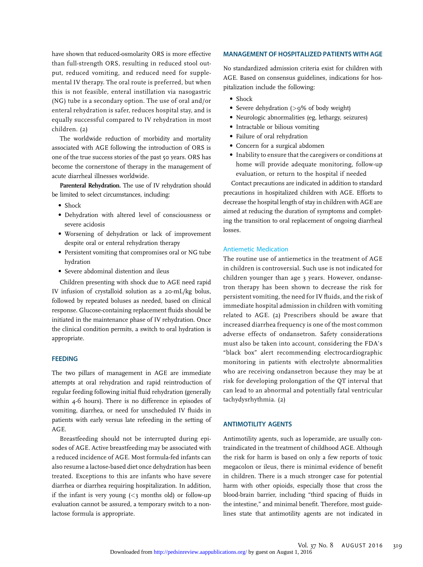have shown that reduced-osmolarity ORS is more effective than full-strength ORS, resulting in reduced stool output, reduced vomiting, and reduced need for supplemental IV therapy. The oral route is preferred, but when this is not feasible, enteral instillation via nasogastric (NG) tube is a secondary option. The use of oral and/or enteral rehydration is safer, reduces hospital stay, and is equally successful compared to IV rehydration in most children. (2)

The worldwide reduction of morbidity and mortality associated with AGE following the introduction of ORS is one of the true success stories of the past 50 years. ORS has become the cornerstone of therapy in the management of acute diarrheal illnesses worldwide.

Parenteral Rehydration. The use of IV rehydration should be limited to select circumstances, including:

- Shock
- Dehydration with altered level of consciousness or severe acidosis
- Worsening of dehydration or lack of improvement despite oral or enteral rehydration therapy
- Persistent vomiting that compromises oral or NG tube hydration
- Severe abdominal distention and ileus

Children presenting with shock due to AGE need rapid IV infusion of crystalloid solution as a 20-mL/kg bolus, followed by repeated boluses as needed, based on clinical response. Glucose-containing replacement fluids should be initiated in the maintenance phase of IV rehydration. Once the clinical condition permits, a switch to oral hydration is appropriate.

#### FEEDING

The two pillars of management in AGE are immediate attempts at oral rehydration and rapid reintroduction of regular feeding following initial fluid rehydration (generally within 4-6 hours). There is no difference in episodes of vomiting, diarrhea, or need for unscheduled IV fluids in patients with early versus late refeeding in the setting of AGE.

Breastfeeding should not be interrupted during episodes of AGE. Active breastfeeding may be associated with a reduced incidence of AGE. Most formula-fed infants can also resume a lactose-based diet once dehydration has been treated. Exceptions to this are infants who have severe diarrhea or diarrhea requiring hospitalization. In addition, if the infant is very young  $\langle \langle \rangle$  months old) or follow-up evaluation cannot be assured, a temporary switch to a nonlactose formula is appropriate.

# MANAGEMENT OF HOSPITALIZED PATIENTS WITH AGE

No standardized admission criteria exist for children with AGE. Based on consensus guidelines, indications for hospitalization include the following:

- Shock
- Severe dehydration (>9% of body weight)
- Neurologic abnormalities (eg, lethargy, seizures)
- Intractable or bilious vomiting
- Failure of oral rehydration
- Concern for a surgical abdomen
- Inability to ensure that the caregivers or conditions at home will provide adequate monitoring, follow-up evaluation, or return to the hospital if needed

Contact precautions are indicated in addition to standard precautions in hospitalized children with AGE. Efforts to decrease the hospital length of stay in children with AGE are aimed at reducing the duration of symptoms and completing the transition to oral replacement of ongoing diarrheal losses.

## Antiemetic Medication

The routine use of antiemetics in the treatment of AGE in children is controversial. Such use is not indicated for children younger than age 3 years. However, ondansetron therapy has been shown to decrease the risk for persistent vomiting, the need for IV fluids, and the risk of immediate hospital admission in children with vomiting related to AGE. (2) Prescribers should be aware that increased diarrhea frequency is one of the most common adverse effects of ondansetron. Safety considerations must also be taken into account, considering the FDA's "black box" alert recommending electrocardiographic monitoring in patients with electrolyte abnormalities who are receiving ondansetron because they may be at risk for developing prolongation of the QT interval that can lead to an abnormal and potentially fatal ventricular tachydysrhythmia. (2)

## ANTIMOTILITY AGENTS

Antimotility agents, such as loperamide, are usually contraindicated in the treatment of childhood AGE. Although the risk for harm is based on only a few reports of toxic megacolon or ileus, there is minimal evidence of benefit in children. There is a much stronger case for potential harm with other opioids, especially those that cross the blood-brain barrier, including "third spacing of fluids in the intestine," and minimal benefit. Therefore, most guidelines state that antimotility agents are not indicated in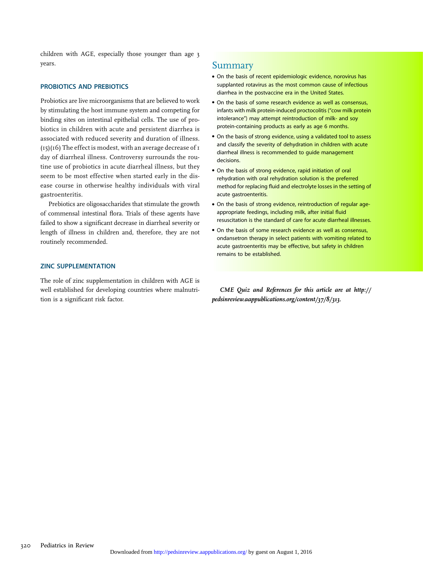children with AGE, especially those younger than age 3 years.

# PROBIOTICS AND PREBIOTICS

Probiotics are live microorganisms that are believed to work by stimulating the host immune system and competing for binding sites on intestinal epithelial cells. The use of probiotics in children with acute and persistent diarrhea is associated with reduced severity and duration of illness.  $(15)(16)$  The effect is modest, with an average decrease of  $I$ day of diarrheal illness. Controversy surrounds the routine use of probiotics in acute diarrheal illness, but they seem to be most effective when started early in the disease course in otherwise healthy individuals with viral gastroenteritis.

Prebiotics are oligosaccharides that stimulate the growth of commensal intestinal flora. Trials of these agents have failed to show a significant decrease in diarrheal severity or length of illness in children and, therefore, they are not routinely recommended.

## ZINC SUPPLEMENTATION

The role of zinc supplementation in children with AGE is well established for developing countries where malnutrition is a significant risk factor.

# Summary

- On the basis of recent epidemiologic evidence, norovirus has supplanted rotavirus as the most common cause of infectious diarrhea in the postvaccine era in the United States.
- On the basis of some research evidence as well as consensus, infants with milk protein-induced proctocolitis ("cow milk protein intolerance") may attempt reintroduction of milk- and soy protein-containing products as early as age 6 months.
- On the basis of strong evidence, using a validated tool to assess and classify the severity of dehydration in children with acute diarrheal illness is recommended to guide management decisions.
- On the basis of strong evidence, rapid initiation of oral rehydration with oral rehydration solution is the preferred method for replacing fluid and electrolyte losses in the setting of acute gastroenteritis.
- On the basis of strong evidence, reintroduction of regular ageappropriate feedings, including milk, after initial fluid resuscitation is the standard of care for acute diarrheal illnesses.
- On the basis of some research evidence as well as consensus, ondansetron therapy in select patients with vomiting related to acute gastroenteritis may be effective, but safety in children remains to be established.

CME Quiz and References for this article are at [http://](http://pedsinreview.aappublications.org/content/37/8/313) [pedsinreview.aappublications.org/content/37/8/313.](http://pedsinreview.aappublications.org/content/37/8/313)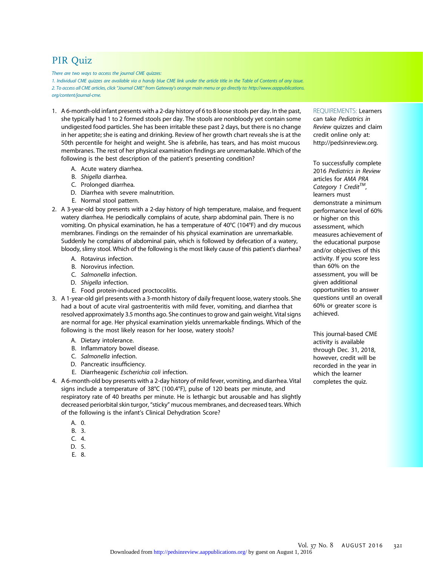# PIR Quiz

There are two ways to access the journal CME quizzes:

1. Individual CME quizzes are available via a handy blue CME link under the article title in the Table of Contents of any issue. 2. To access all CME articles, click "Journal CME" from Gateway's orange main menu or go directly to: [http://www.aappublications.](http://www.aappublications.org/content/journal-cme) [org/content/journal-cme.](http://www.aappublications.org/content/journal-cme)

- 1. A 6-month-old infant presents with a 2-day history of 6 to 8 loose stools per day. In the past, she typically had 1 to 2 formed stools per day. The stools are nonbloody yet contain some undigested food particles. She has been irritable these past 2 days, but there is no change in her appetite; she is eating and drinking. Review of her growth chart reveals she is at the 50th percentile for height and weight. She is afebrile, has tears, and has moist mucous membranes. The rest of her physical examination findings are unremarkable. Which of the following is the best description of the patient's presenting condition?
	- A. Acute watery diarrhea.
	- B. Shigella diarrhea.
	- C. Prolonged diarrhea.
	- D. Diarrhea with severe malnutrition.
	- E. Normal stool pattern.
- 2. A 3-year-old boy presents with a 2-day history of high temperature, malaise, and frequent watery diarrhea. He periodically complains of acute, sharp abdominal pain. There is no vomiting. On physical examination, he has a temperature of 40°C (104°F) and dry mucous membranes. Findings on the remainder of his physical examination are unremarkable. Suddenly he complains of abdominal pain, which is followed by defecation of a watery, bloody, slimy stool. Which of the following is the most likely cause of this patient's diarrhea?
	- A. Rotavirus infection.
	- B. Norovirus infection.
	- C. Salmonella infection.
	- D. Shigella infection.
	- E. Food protein-induced proctocolitis.
- 3. A 1-year-old girl presents with a 3-month history of daily frequent loose, watery stools. She had a bout of acute viral gastroenteritis with mild fever, vomiting, and diarrhea that resolved approximately 3.5 months ago. She continues to grow and gain weight. Vital signs are normal for age. Her physical examination yields unremarkable findings. Which of the following is the most likely reason for her loose, watery stools?
	- A. Dietary intolerance.
	- B. Inflammatory bowel disease.
	- C. Salmonella infection.
	- D. Pancreatic insufficiency.
	- E. Diarrheagenic Escherichia coli infection.
- 4. A 6-month-old boy presents with a 2-day history of mild fever, vomiting, and diarrhea. Vital signs include a temperature of 38°C (100.4°F), pulse of 120 beats per minute, and respiratory rate of 40 breaths per minute. He is lethargic but arousable and has slightly decreased periorbital skin turgor, "sticky" mucous membranes, and decreased tears. Which of the following is the infant's Clinical Dehydration Score?
	- A. 0.
	- B. 3.
	- C. 4.
	- D. 5.
	- E. 8.

REQUIREMENTS: Learners

can take Pediatrics in Review quizzes and claim credit online only at: <http://pedsinreview.org>.

To successfully complete 2016 Pediatrics in Review articles for AMA PRA Category 1 Credit $^{TM}$ , learners must demonstrate a minimum performance level of 60% or higher on this assessment, which measures achievement of the educational purpose and/or objectives of this activity. If you score less than 60% on the assessment, you will be given additional opportunities to answer questions until an overall 60% or greater score is achieved.

This journal-based CME activity is available through Dec. 31, 2018, however, credit will be recorded in the year in which the learner completes the quiz.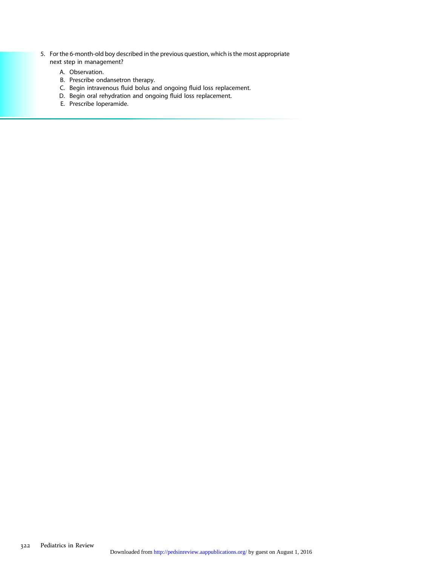- 5. For the 6-month-old boy described in the previous question, which is the most appropriate next step in management?
	- A. Observation.
	- B. Prescribe ondansetron therapy.
	- C. Begin intravenous fluid bolus and ongoing fluid loss replacement.
	- D. Begin oral rehydration and ongoing fluid loss replacement.
	- E. Prescribe loperamide.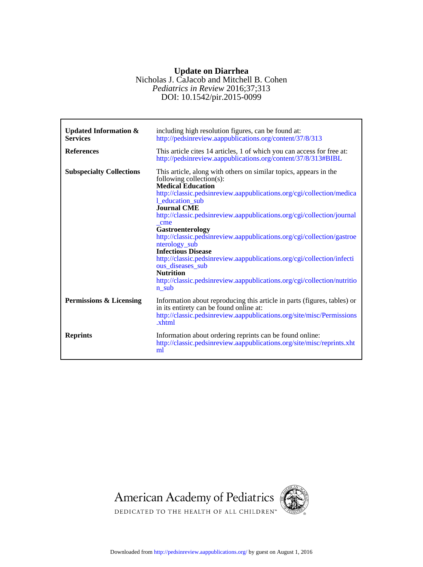# **Update on Diarrhea**

# DOI: 10.1542/pir.2015-0099 *Pediatrics in Review* 2016;37;313 Nicholas J. CaJacob and Mitchell B. Cohen

| <b>Updated Information &amp;</b><br><b>Services</b> | including high resolution figures, can be found at:<br>http://pedsinreview.aappublications.org/content/37/8/313                                                                                                                                                                                                                                                                                                                                                                                                                                                                                                                                                                   |  |  |
|-----------------------------------------------------|-----------------------------------------------------------------------------------------------------------------------------------------------------------------------------------------------------------------------------------------------------------------------------------------------------------------------------------------------------------------------------------------------------------------------------------------------------------------------------------------------------------------------------------------------------------------------------------------------------------------------------------------------------------------------------------|--|--|
| <b>References</b>                                   | This article cites 14 articles, 1 of which you can access for free at:<br>http://pedsinreview.aappublications.org/content/37/8/313#BIBL                                                                                                                                                                                                                                                                                                                                                                                                                                                                                                                                           |  |  |
| <b>Subspecialty Collections</b>                     | This article, along with others on similar topics, appears in the<br>following collection(s):<br><b>Medical Education</b><br>http://classic.pedsinreview.aappublications.org/cgi/collection/medica<br>1 education sub<br><b>Journal CME</b><br>http://classic.pedsinreview.aappublications.org/cgi/collection/journal<br>cme<br>Gastroenterology<br>http://classic.pedsinreview.aappublications.org/cgi/collection/gastroe<br>nterology_sub<br><b>Infectious Disease</b><br>http://classic.pedsinreview.aappublications.org/cgi/collection/infecti<br>ous diseases sub<br><b>Nutrition</b><br>http://classic.pedsinreview.aappublications.org/cgi/collection/nutritio<br>$n\_sub$ |  |  |
| <b>Permissions &amp; Licensing</b>                  | Information about reproducing this article in parts (figures, tables) or<br>in its entirety can be found online at:<br>http://classic.pedsinreview.aappublications.org/site/misc/Permissions<br>.xhtml                                                                                                                                                                                                                                                                                                                                                                                                                                                                            |  |  |
| <b>Reprints</b>                                     | Information about ordering reprints can be found online:<br>http://classic.pedsinreview.aappublications.org/site/misc/reprints.xht<br>ml                                                                                                                                                                                                                                                                                                                                                                                                                                                                                                                                          |  |  |